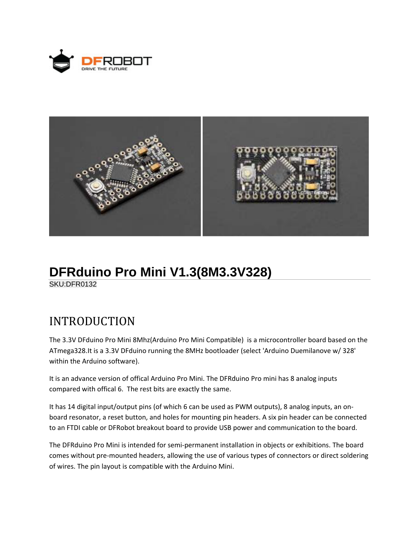



## **DFRduino Pro Mini V1.3(8M3.3V328)**

SKU:DFR0132

## INTRODUCTION

The 3.3V DFduino Pro Mini 8Mhz(Arduino Pro Mini Compatible) is a microcontroller board based on the ATmega328.It is a 3.3V DFduino running the 8MHz bootloader (select 'Arduino Duemilanove w/ 328' within the Arduino software).

It is an advance version of offical Arduino Pro Mini. The DFRduino Pro mini has 8 analog inputs compared with offical 6. The rest bits are exactly the same.

It has 14 digital input/output pins (of which 6 can be used as PWM outputs), 8 analog inputs, an on‐ board resonator, a reset button, and holes for mounting pin headers. A six pin header can be connected to an FTDI cable or DFRobot breakout board to provide USB power and communication to the board.

The DFRduino Pro Mini is intended for semi‐permanent installation in objects or exhibitions. The board comes without pre‐mounted headers, allowing the use of various types of connectors or direct soldering of wires. The pin layout is compatible with the Arduino Mini.